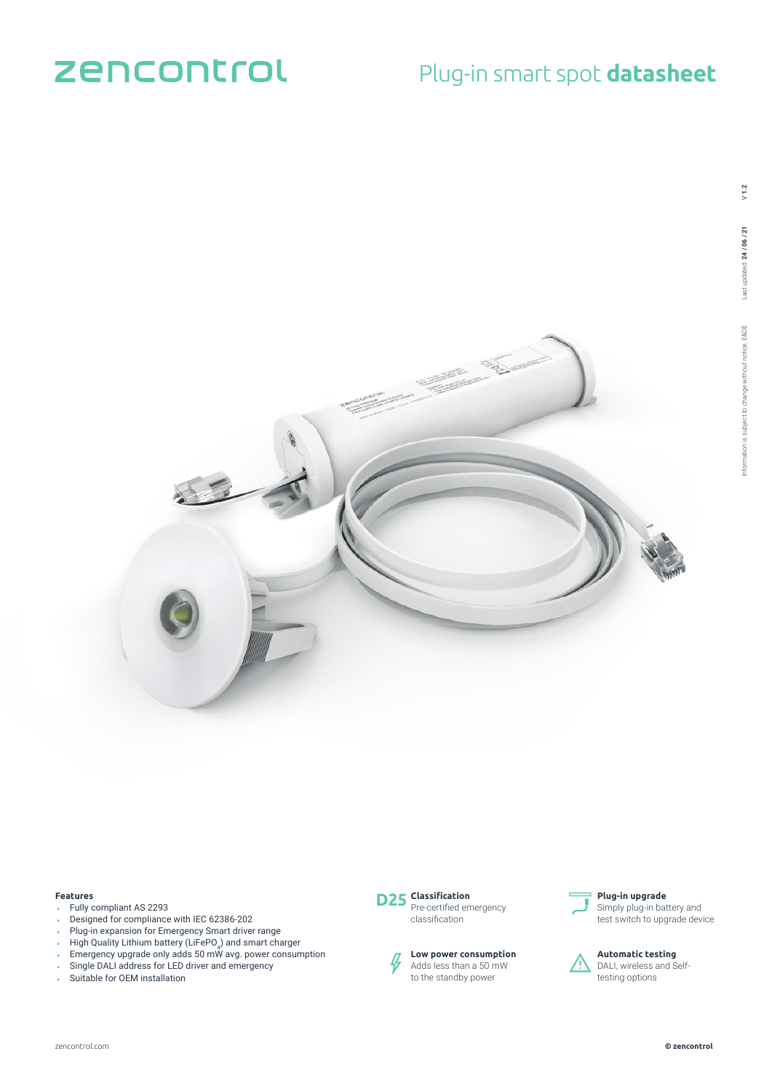# zencontrol

## Plug-in smart spot **datasheet**



#### **Features**

- Fully compliant AS 2293
- Designed for compliance with IEC 62386-202
- Plug-in expansion for Emergency Smart driver range
- 
- $\blacksquare$  High Quality Lithium battery (LiFePO $_4$ ) and smart charger
- Emergency upgrade only adds 50 mW avg. power consumption
- Single DALI address for LED driver and emergency
- Suitable for OEM installation



classification





#### **Plug-in upgrade** Simply plug-in battery and

test switch to upgrade device



**Automatic testing** DALI, wireless and Selftesting options